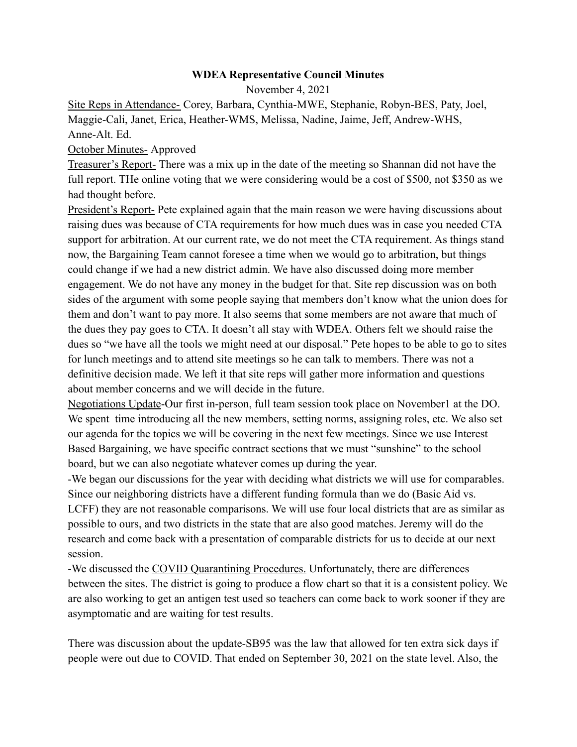## **WDEA Representative Council Minutes**

November 4, 2021

Site Reps in Attendance- Corey, Barbara, Cynthia-MWE, Stephanie, Robyn-BES, Paty, Joel, Maggie-Cali, Janet, Erica, Heather-WMS, Melissa, Nadine, Jaime, Jeff, Andrew-WHS, Anne-Alt. Ed.

## October Minutes- Approved

Treasurer's Report- There was a mix up in the date of the meeting so Shannan did not have the full report. THe online voting that we were considering would be a cost of \$500, not \$350 as we had thought before.

President's Report- Pete explained again that the main reason we were having discussions about raising dues was because of CTA requirements for how much dues was in case you needed CTA support for arbitration. At our current rate, we do not meet the CTA requirement. As things stand now, the Bargaining Team cannot foresee a time when we would go to arbitration, but things could change if we had a new district admin. We have also discussed doing more member engagement. We do not have any money in the budget for that. Site rep discussion was on both sides of the argument with some people saying that members don't know what the union does for them and don't want to pay more. It also seems that some members are not aware that much of the dues they pay goes to CTA. It doesn't all stay with WDEA. Others felt we should raise the dues so "we have all the tools we might need at our disposal." Pete hopes to be able to go to sites for lunch meetings and to attend site meetings so he can talk to members. There was not a definitive decision made. We left it that site reps will gather more information and questions about member concerns and we will decide in the future.

Negotiations Update-Our first in-person, full team session took place on November1 at the DO. We spent time introducing all the new members, setting norms, assigning roles, etc. We also set our agenda for the topics we will be covering in the next few meetings. Since we use Interest Based Bargaining, we have specific contract sections that we must "sunshine" to the school board, but we can also negotiate whatever comes up during the year.

-We began our discussions for the year with deciding what districts we will use for comparables. Since our neighboring districts have a different funding formula than we do (Basic Aid vs. LCFF) they are not reasonable comparisons. We will use four local districts that are as similar as possible to ours, and two districts in the state that are also good matches. Jeremy will do the research and come back with a presentation of comparable districts for us to decide at our next session.

-We discussed the COVID Quarantining Procedures. Unfortunately, there are differences between the sites. The district is going to produce a flow chart so that it is a consistent policy. We are also working to get an antigen test used so teachers can come back to work sooner if they are asymptomatic and are waiting for test results.

There was discussion about the update-SB95 was the law that allowed for ten extra sick days if people were out due to COVID. That ended on September 30, 2021 on the state level. Also, the